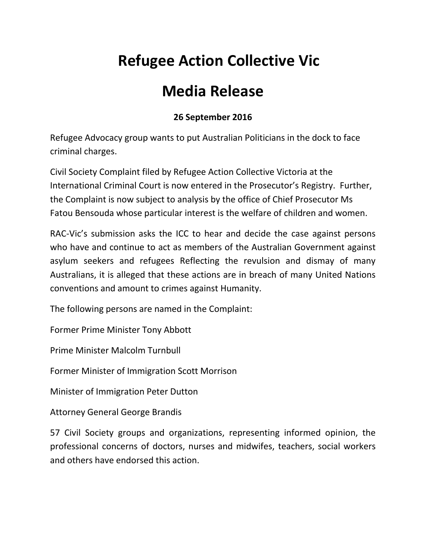## **Refugee Action Collective Vic**

## **Media Release**

## **26 September 2016**

Refugee Advocacy group wants to put Australian Politicians in the dock to face criminal charges.

Civil Society Complaint filed by Refugee Action Collective Victoria at the International Criminal Court is now entered in the Prosecutor's Registry. Further, the Complaint is now subject to analysis by the office of Chief Prosecutor Ms Fatou Bensouda whose particular interest is the welfare of children and women.

RAC-Vic's submission asks the ICC to hear and decide the case against persons who have and continue to act as members of the Australian Government against asylum seekers and refugees Reflecting the revulsion and dismay of many Australians, it is alleged that these actions are in breach of many United Nations conventions and amount to crimes against Humanity.

The following persons are named in the Complaint:

Former Prime Minister Tony Abbott

Prime Minister Malcolm Turnbull

Former Minister of Immigration Scott Morrison

Minister of Immigration Peter Dutton

Attorney General George Brandis

57 Civil Society groups and organizations, representing informed opinion, the professional concerns of doctors, nurses and midwifes, teachers, social workers and others have endorsed this action.